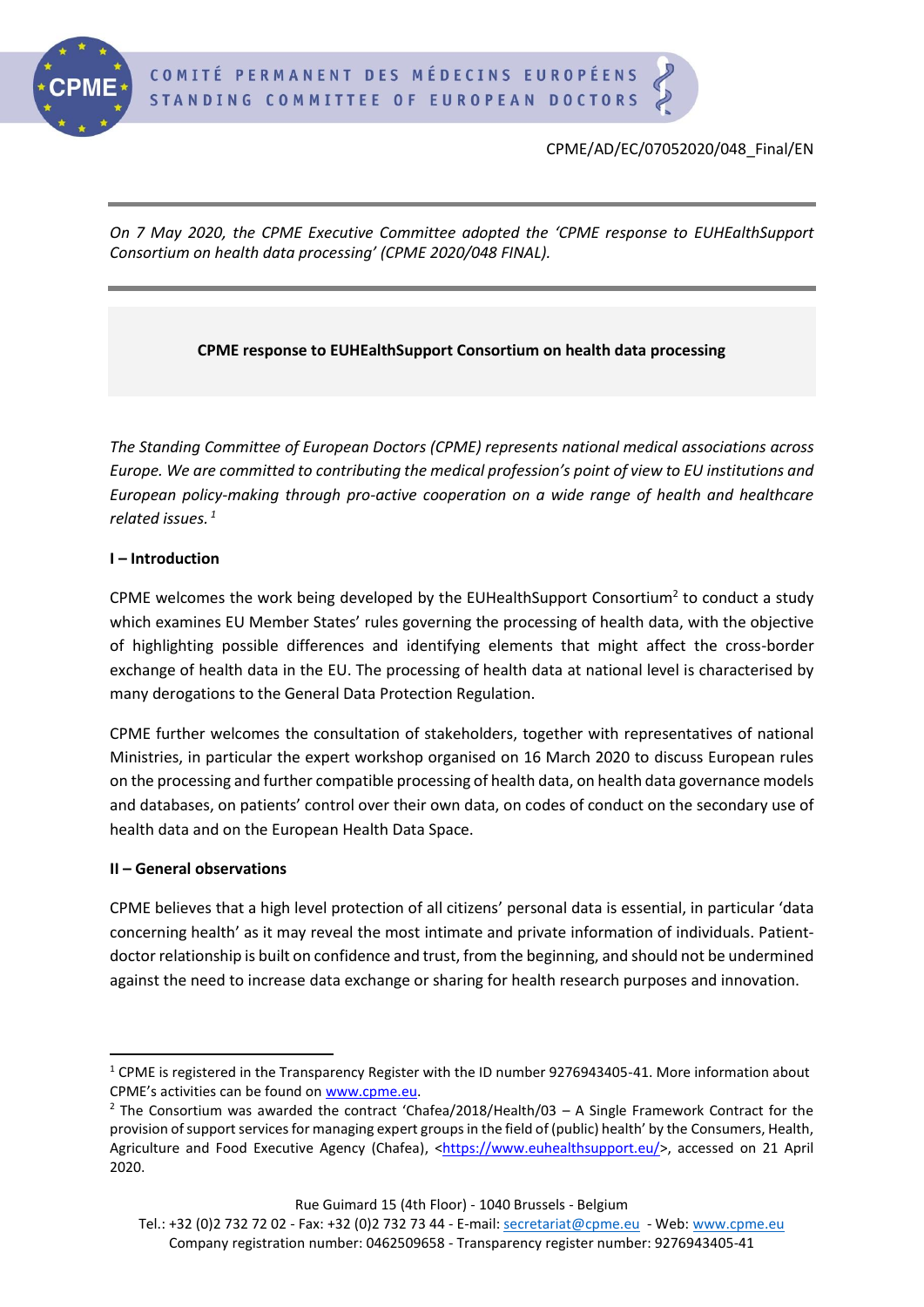

*On 7 May 2020, the CPME Executive Committee adopted the 'CPME response to EUHEalthSupport Consortium on health data processing' (CPME 2020/048 FINAL).*

# **CPME response to EUHEalthSupport Consortium on health data processing**

*The Standing Committee of European Doctors (CPME) represents national medical associations across Europe. We are committed to contributing the medical profession's point of view to EU institutions and European policy-making through pro-active cooperation on a wide range of health and healthcare related issues. <sup>1</sup>*

### **I – Introduction**

CPME welcomes the work being developed by the EUHealthSupport Consortium<sup>2</sup> to conduct a study which examines EU Member States' rules governing the processing of health data, with the objective of highlighting possible differences and identifying elements that might affect the cross-border exchange of health data in the EU. The processing of health data at national level is characterised by many derogations to the General Data Protection Regulation.

CPME further welcomes the consultation of stakeholders, together with representatives of national Ministries, in particular the expert workshop organised on 16 March 2020 to discuss European rules on the processing and further compatible processing of health data, on health data governance models and databases, on patients' control over their own data, on codes of conduct on the secondary use of health data and on the European Health Data Space.

### **II – General observations**

CPME believes that a high level protection of all citizens' personal data is essential, in particular 'data concerning health' as it may reveal the most intimate and private information of individuals. Patientdoctor relationship is built on confidence and trust, from the beginning, and should not be undermined against the need to increase data exchange or sharing for health research purposes and innovation.

<sup>&</sup>lt;sup>1</sup> CPME is registered in the Transparency Register with the ID number 9276943405-41. More information about CPME's activities can be found on [www.cpme.eu.](https://cpmebxl.sharepoint.com/sites/G_DATAMAIN/Shared%20Documents/03.%20cpdocs/2019/Adopted%20Policies/www.cpme.eu)

<sup>&</sup>lt;sup>2</sup> The Consortium was awarded the contract 'Chafea/2018/Health/03 – A Single Framework Contract for the provision of support services for managing expert groups in the field of (public) health' by the Consumers, Health, Agriculture and Food Executive Agency (Chafea), [<https://www.euhealthsupport.eu/>](https://www.euhealthsupport.eu/), accessed on 21 April 2020.

Tel.: +32 (0)2 732 72 02 - Fax: +32 (0)2 732 73 44 - E-mail: [secretariat@cpme.eu](mailto:secretariat@cpme.eu) - Web[: www.cpme.eu](http://www.cpme.eu/) Company registration number: 0462509658 - Transparency register number: 9276943405-41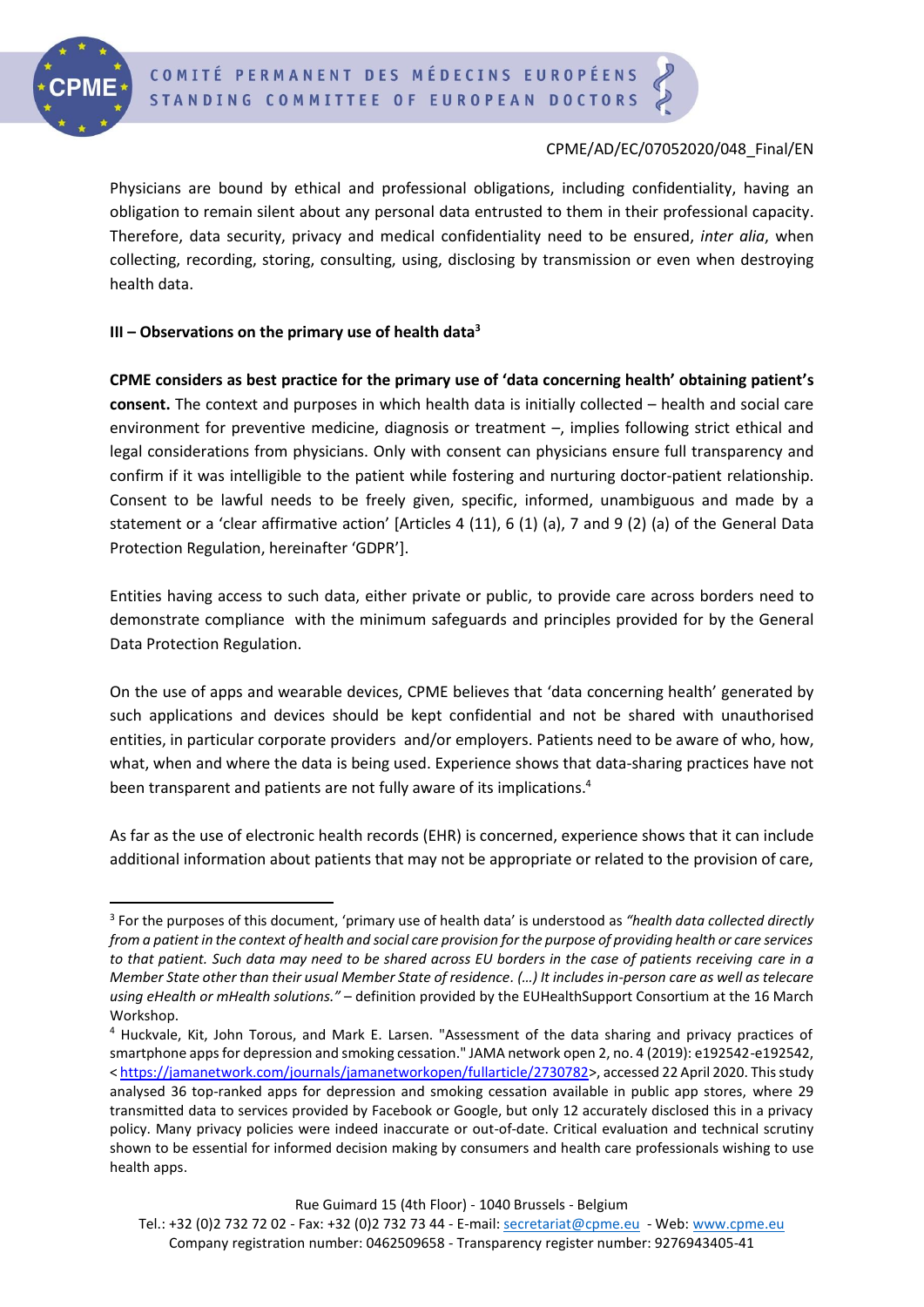

### CPME/AD/EC/07052020/048\_Final/EN

Physicians are bound by ethical and professional obligations, including confidentiality, having an obligation to remain silent about any personal data entrusted to them in their professional capacity. Therefore, data security, privacy and medical confidentiality need to be ensured, *inter alia*, when collecting, recording, storing, consulting, using, disclosing by transmission or even when destroying health data.

#### **III – Observations on the primary use of health data<sup>3</sup>**

**CPME considers as best practice for the primary use of 'data concerning health' obtaining patient's consent.** The context and purposes in which health data is initially collected – health and social care environment for preventive medicine, diagnosis or treatment –, implies following strict ethical and legal considerations from physicians. Only with consent can physicians ensure full transparency and confirm if it was intelligible to the patient while fostering and nurturing doctor-patient relationship. Consent to be lawful needs to be freely given, specific, informed, unambiguous and made by a statement or a 'clear affirmative action' [Articles 4 (11), 6 (1) (a), 7 and 9 (2) (a) of the General Data Protection Regulation, hereinafter 'GDPR'].

Entities having access to such data, either private or public, to provide care across borders need to demonstrate compliance with the minimum safeguards and principles provided for by the General Data Protection Regulation.

On the use of apps and wearable devices, CPME believes that 'data concerning health' generated by such applications and devices should be kept confidential and not be shared with unauthorised entities, in particular corporate providers and/or employers. Patients need to be aware of who, how, what, when and where the data is being used. Experience shows that data-sharing practices have not been transparent and patients are not fully aware of its implications. 4

As far as the use of electronic health records (EHR) is concerned, experience shows that it can include additional information about patients that may not be appropriate or related to the provision of care,

<sup>3</sup> For the purposes of this document, 'primary use of health data' is understood as *"health data collected directly from a patient in the context of health and social care provision for the purpose of providing health or care services to that patient. Such data may need to be shared across EU borders in the case of patients receiving care in a Member State other than their usual Member State of residence. (…) It includes in-person care as well as telecare using eHealth or mHealth solutions."* – definition provided by the EUHealthSupport Consortium at the 16 March Workshop.

<sup>4</sup> Huckvale, Kit, John Torous, and Mark E. Larsen. "Assessment of the data sharing and privacy practices of smartphone apps for depression and smoking cessation." JAMA network open 2, no. 4 (2019): e192542-e192542, [< https://jamanetwork.com/journals/jamanetworkopen/fullarticle/2730782>](https://jamanetwork.com/journals/jamanetworkopen/fullarticle/2730782), accessed 22 April 2020. This study analysed 36 top-ranked apps for depression and smoking cessation available in public app stores, where 29 transmitted data to services provided by Facebook or Google, but only 12 accurately disclosed this in a privacy policy. Many privacy policies were indeed inaccurate or out-of-date. Critical evaluation and technical scrutiny shown to be essential for informed decision making by consumers and health care professionals wishing to use health apps.

Tel.: +32 (0)2 732 72 02 - Fax: +32 (0)2 732 73 44 - E-mail: [secretariat@cpme.eu](mailto:secretariat@cpme.eu) - Web[: www.cpme.eu](http://www.cpme.eu/) Company registration number: 0462509658 - Transparency register number: 9276943405-41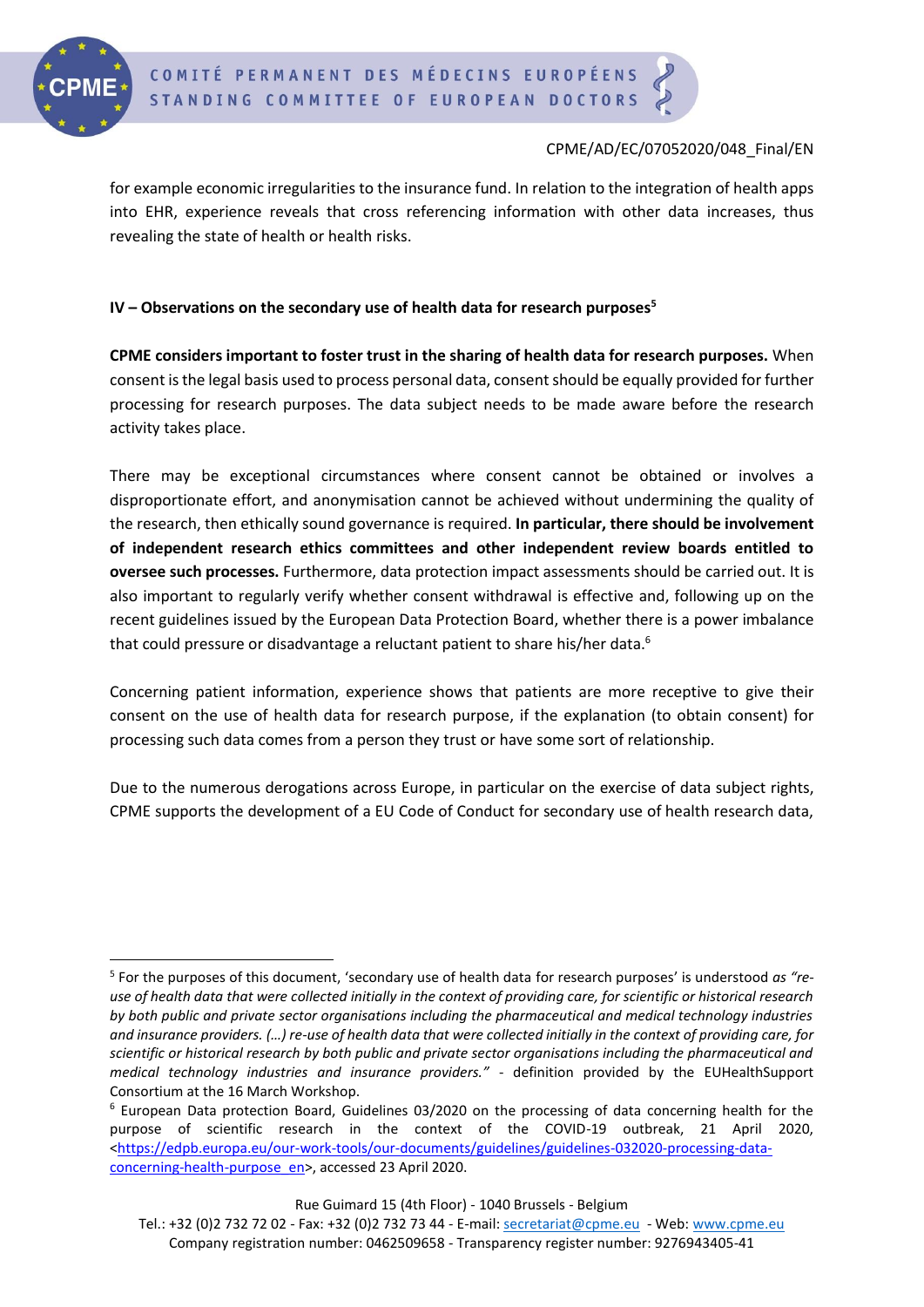

## CPME/AD/EC/07052020/048\_Final/EN

for example economic irregularities to the insurance fund. In relation to the integration of health apps into EHR, experience reveals that cross referencing information with other data increases, thus revealing the state of health or health risks.

## **IV – Observations on the secondary use of health data for research purposes<sup>5</sup>**

**CPME considers important to foster trust in the sharing of health data for research purposes.** When consent is the legal basis used to process personal data, consent should be equally provided for further processing for research purposes. The data subject needs to be made aware before the research activity takes place.

There may be exceptional circumstances where consent cannot be obtained or involves a disproportionate effort, and anonymisation cannot be achieved without undermining the quality of the research, then ethically sound governance is required. **In particular, there should be involvement of independent research ethics committees and other independent review boards entitled to oversee such processes.** Furthermore, data protection impact assessments should be carried out. It is also important to regularly verify whether consent withdrawal is effective and, following up on the recent guidelines issued by the European Data Protection Board, whether there is a power imbalance that could pressure or disadvantage a reluctant patient to share his/her data.<sup>6</sup>

Concerning patient information, experience shows that patients are more receptive to give their consent on the use of health data for research purpose, if the explanation (to obtain consent) for processing such data comes from a person they trust or have some sort of relationship.

Due to the numerous derogations across Europe, in particular on the exercise of data subject rights, CPME supports the development of a EU Code of Conduct for secondary use of health research data,

<sup>5</sup> For the purposes of this document, 'secondary use of health data for research purposes' is understood *as "reuse of health data that were collected initially in the context of providing care, for scientific or historical research by both public and private sector organisations including the pharmaceutical and medical technology industries and insurance providers. (…) re-use of health data that were collected initially in the context of providing care, for scientific or historical research by both public and private sector organisations including the pharmaceutical and medical technology industries and insurance providers."* - definition provided by the EUHealthSupport Consortium at the 16 March Workshop.

 $6$  European Data protection Board, Guidelines 03/2020 on the processing of data concerning health for the purpose of scientific research in the context of the COVID-19 outbreak, 21 April 2020, [<https://edpb.europa.eu/our-work-tools/our-documents/guidelines/guidelines-032020-processing-data](https://edpb.europa.eu/our-work-tools/our-documents/guidelines/guidelines-032020-processing-data-concerning-health-purpose_en)[concerning-health-purpose\\_en>](https://edpb.europa.eu/our-work-tools/our-documents/guidelines/guidelines-032020-processing-data-concerning-health-purpose_en), accessed 23 April 2020.

Tel.: +32 (0)2 732 72 02 - Fax: +32 (0)2 732 73 44 - E-mail: [secretariat@cpme.eu](mailto:secretariat@cpme.eu) - Web[: www.cpme.eu](http://www.cpme.eu/) Company registration number: 0462509658 - Transparency register number: 9276943405-41